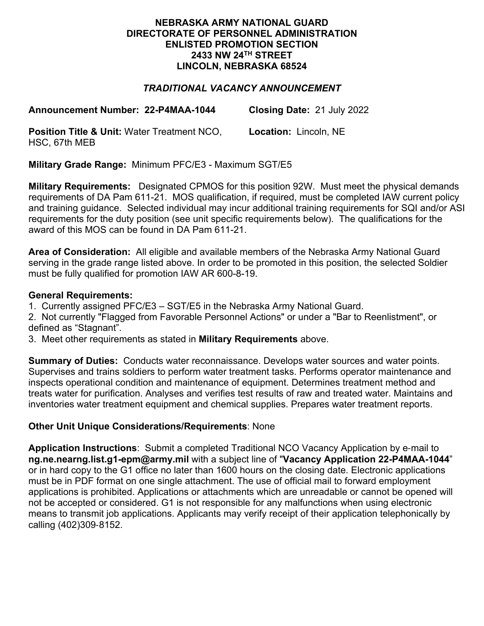### **NEBRASKA ARMY NATIONAL GUARD DIRECTORATE OF PERSONNEL ADMINISTRATION ENLISTED PROMOTION SECTION 2433 NW 24TH STREET LINCOLN, NEBRASKA 68524**

# *TRADITIONAL VACANCY ANNOUNCEMENT*

**Announcement Number: 22-P4MAA-1044 Closing Date:** 21 July 2022

**Position Title & Unit:** Water Treatment NCO, HSC, 67th MEB **Location:** Lincoln, NE

**Military Grade Range:** Minimum PFC/E3 - Maximum SGT/E5

**Military Requirements:** Designated CPMOS for this position 92W. Must meet the physical demands requirements of DA Pam 611-21. MOS qualification, if required, must be completed IAW current policy and training guidance. Selected individual may incur additional training requirements for SQI and/or ASI requirements for the duty position (see unit specific requirements below). The qualifications for the award of this MOS can be found in DA Pam 611-21.

**Area of Consideration:** All eligible and available members of the Nebraska Army National Guard serving in the grade range listed above. In order to be promoted in this position, the selected Soldier must be fully qualified for promotion IAW AR 600-8-19.

### **General Requirements:**

1. Currently assigned PFC/E3 – SGT/E5 in the Nebraska Army National Guard.

2. Not currently "Flagged from Favorable Personnel Actions" or under a "Bar to Reenlistment", or defined as "Stagnant".

3. Meet other requirements as stated in **Military Requirements** above.

**Summary of Duties:** Conducts water reconnaissance. Develops water sources and water points. Supervises and trains soldiers to perform water treatment tasks. Performs operator maintenance and inspects operational condition and maintenance of equipment. Determines treatment method and treats water for purification. Analyses and verifies test results of raw and treated water. Maintains and inventories water treatment equipment and chemical supplies. Prepares water treatment reports.

## **Other Unit Unique Considerations/Requirements**: None

**Application Instructions**: Submit a completed Traditional NCO Vacancy Application by e-mail to **ng.ne.nearng.list.g1-epm@army.mil** with a subject line of "**Vacancy Application 22-P4MAA-1044**" or in hard copy to the G1 office no later than 1600 hours on the closing date. Electronic applications must be in PDF format on one single attachment. The use of official mail to forward employment applications is prohibited. Applications or attachments which are unreadable or cannot be opened will not be accepted or considered. G1 is not responsible for any malfunctions when using electronic means to transmit job applications. Applicants may verify receipt of their application telephonically by calling (402)309-8152.